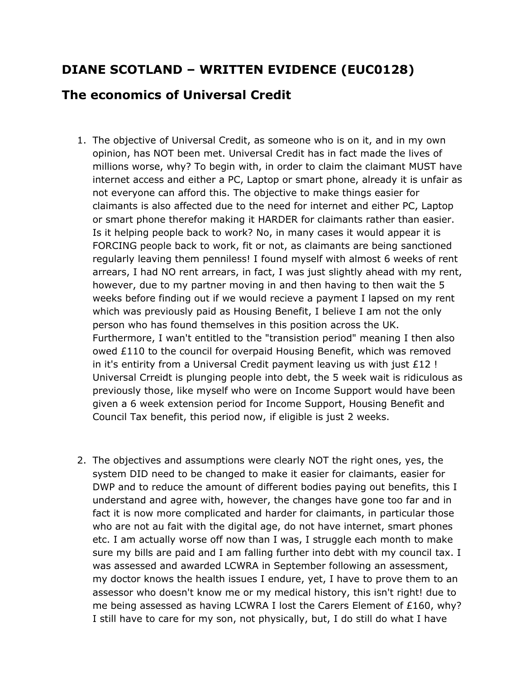## **DIANE SCOTLAND – WRITTEN EVIDENCE (EUC0128)**

## **The economics of Universal Credit**

- 1. The objective of Universal Credit, as someone who is on it, and in my own opinion, has NOT been met. Universal Credit has in fact made the lives of millions worse, why? To begin with, in order to claim the claimant MUST have internet access and either a PC, Laptop or smart phone, already it is unfair as not everyone can afford this. The objective to make things easier for claimants is also affected due to the need for internet and either PC, Laptop or smart phone therefor making it HARDER for claimants rather than easier. Is it helping people back to work? No, in many cases it would appear it is FORCING people back to work, fit or not, as claimants are being sanctioned regularly leaving them penniless! I found myself with almost 6 weeks of rent arrears, I had NO rent arrears, in fact, I was just slightly ahead with my rent, however, due to my partner moving in and then having to then wait the 5 weeks before finding out if we would recieve a payment I lapsed on my rent which was previously paid as Housing Benefit, I believe I am not the only person who has found themselves in this position across the UK. Furthermore, I wan't entitled to the "transistion period" meaning I then also owed £110 to the council for overpaid Housing Benefit, which was removed in it's entirity from a Universal Credit payment leaving us with just £12 ! Universal Crreidt is plunging people into debt, the 5 week wait is ridiculous as previously those, like myself who were on Income Support would have been given a 6 week extension period for Income Support, Housing Benefit and Council Tax benefit, this period now, if eligible is just 2 weeks.
- 2. The objectives and assumptions were clearly NOT the right ones, yes, the system DID need to be changed to make it easier for claimants, easier for DWP and to reduce the amount of different bodies paying out benefits, this I understand and agree with, however, the changes have gone too far and in fact it is now more complicated and harder for claimants, in particular those who are not au fait with the digital age, do not have internet, smart phones etc. I am actually worse off now than I was, I struggle each month to make sure my bills are paid and I am falling further into debt with my council tax. I was assessed and awarded LCWRA in September following an assessment, my doctor knows the health issues I endure, yet, I have to prove them to an assessor who doesn't know me or my medical history, this isn't right! due to me being assessed as having LCWRA I lost the Carers Element of £160, why? I still have to care for my son, not physically, but, I do still do what I have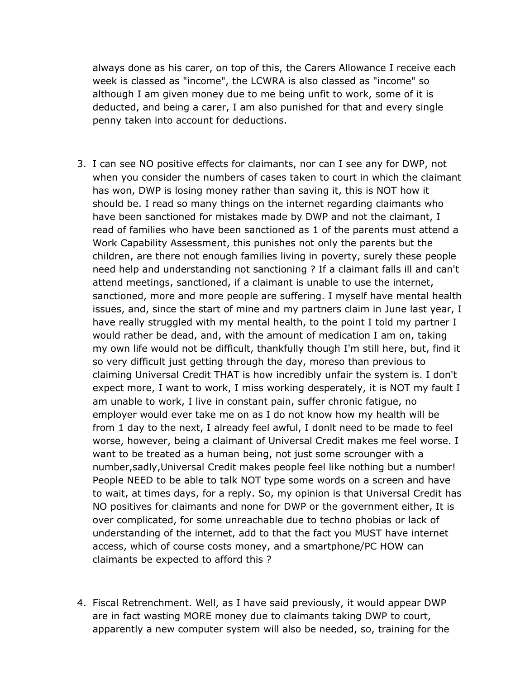always done as his carer, on top of this, the Carers Allowance I receive each week is classed as "income", the LCWRA is also classed as "income" so although I am given money due to me being unfit to work, some of it is deducted, and being a carer, I am also punished for that and every single penny taken into account for deductions.

- 3. I can see NO positive effects for claimants, nor can I see any for DWP, not when you consider the numbers of cases taken to court in which the claimant has won, DWP is losing money rather than saving it, this is NOT how it should be. I read so many things on the internet regarding claimants who have been sanctioned for mistakes made by DWP and not the claimant, I read of families who have been sanctioned as 1 of the parents must attend a Work Capability Assessment, this punishes not only the parents but the children, are there not enough families living in poverty, surely these people need help and understanding not sanctioning ? If a claimant falls ill and can't attend meetings, sanctioned, if a claimant is unable to use the internet, sanctioned, more and more people are suffering. I myself have mental health issues, and, since the start of mine and my partners claim in June last year, I have really struggled with my mental health, to the point I told my partner I would rather be dead, and, with the amount of medication I am on, taking my own life would not be difficult, thankfully though I'm still here, but, find it so very difficult just getting through the day, moreso than previous to claiming Universal Credit THAT is how incredibly unfair the system is. I don't expect more, I want to work, I miss working desperately, it is NOT my fault I am unable to work, I live in constant pain, suffer chronic fatigue, no employer would ever take me on as I do not know how my health will be from 1 day to the next, I already feel awful, I donlt need to be made to feel worse, however, being a claimant of Universal Credit makes me feel worse. I want to be treated as a human being, not just some scrounger with a number,sadly,Universal Credit makes people feel like nothing but a number! People NEED to be able to talk NOT type some words on a screen and have to wait, at times days, for a reply. So, my opinion is that Universal Credit has NO positives for claimants and none for DWP or the government either, It is over complicated, for some unreachable due to techno phobias or lack of understanding of the internet, add to that the fact you MUST have internet access, which of course costs money, and a smartphone/PC HOW can claimants be expected to afford this ?
- 4. Fiscal Retrenchment. Well, as I have said previously, it would appear DWP are in fact wasting MORE money due to claimants taking DWP to court, apparently a new computer system will also be needed, so, training for the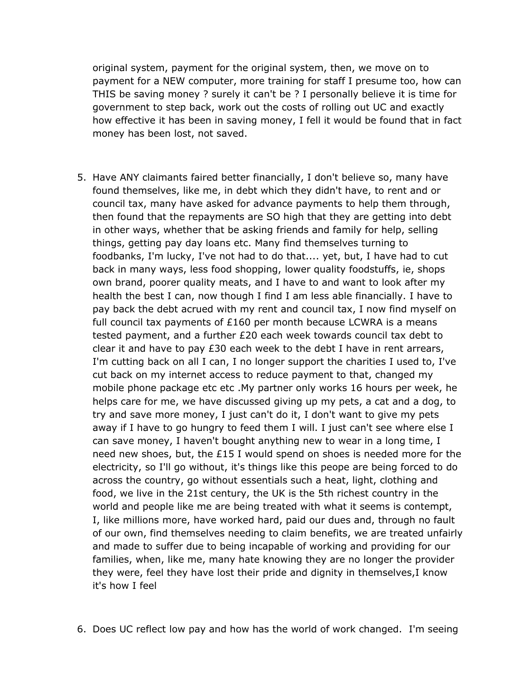original system, payment for the original system, then, we move on to payment for a NEW computer, more training for staff I presume too, how can THIS be saving money ? surely it can't be ? I personally believe it is time for government to step back, work out the costs of rolling out UC and exactly how effective it has been in saving money, I fell it would be found that in fact money has been lost, not saved.

- 5. Have ANY claimants faired better financially, I don't believe so, many have found themselves, like me, in debt which they didn't have, to rent and or council tax, many have asked for advance payments to help them through, then found that the repayments are SO high that they are getting into debt in other ways, whether that be asking friends and family for help, selling things, getting pay day loans etc. Many find themselves turning to foodbanks, I'm lucky, I've not had to do that.... yet, but, I have had to cut back in many ways, less food shopping, lower quality foodstuffs, ie, shops own brand, poorer quality meats, and I have to and want to look after my health the best I can, now though I find I am less able financially. I have to pay back the debt acrued with my rent and council tax, I now find myself on full council tax payments of  $£160$  per month because LCWRA is a means tested payment, and a further £20 each week towards council tax debt to clear it and have to pay £30 each week to the debt I have in rent arrears, I'm cutting back on all I can, I no longer support the charities I used to, I've cut back on my internet access to reduce payment to that, changed my mobile phone package etc etc .My partner only works 16 hours per week, he helps care for me, we have discussed giving up my pets, a cat and a dog, to try and save more money, I just can't do it, I don't want to give my pets away if I have to go hungry to feed them I will. I just can't see where else I can save money, I haven't bought anything new to wear in a long time, I need new shoes, but, the £15 I would spend on shoes is needed more for the electricity, so I'll go without, it's things like this peope are being forced to do across the country, go without essentials such a heat, light, clothing and food, we live in the 21st century, the UK is the 5th richest country in the world and people like me are being treated with what it seems is contempt, I, like millions more, have worked hard, paid our dues and, through no fault of our own, find themselves needing to claim benefits, we are treated unfairly and made to suffer due to being incapable of working and providing for our families, when, like me, many hate knowing they are no longer the provider they were, feel they have lost their pride and dignity in themselves,I know it's how I feel
- 6. Does UC reflect low pay and how has the world of work changed. I'm seeing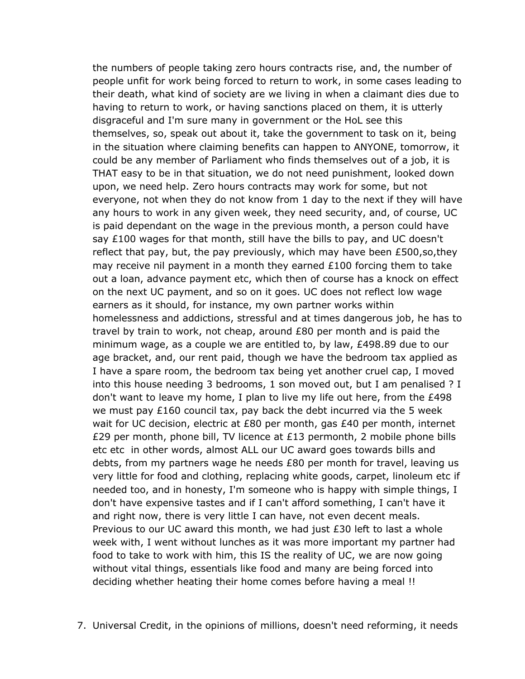the numbers of people taking zero hours contracts rise, and, the number of people unfit for work being forced to return to work, in some cases leading to their death, what kind of society are we living in when a claimant dies due to having to return to work, or having sanctions placed on them, it is utterly disgraceful and I'm sure many in government or the HoL see this themselves, so, speak out about it, take the government to task on it, being in the situation where claiming benefits can happen to ANYONE, tomorrow, it could be any member of Parliament who finds themselves out of a job, it is THAT easy to be in that situation, we do not need punishment, looked down upon, we need help. Zero hours contracts may work for some, but not everyone, not when they do not know from 1 day to the next if they will have any hours to work in any given week, they need security, and, of course, UC is paid dependant on the wage in the previous month, a person could have say £100 wages for that month, still have the bills to pay, and UC doesn't reflect that pay, but, the pay previously, which may have been £500,so,they may receive nil payment in a month they earned £100 forcing them to take out a loan, advance payment etc, which then of course has a knock on effect on the next UC payment, and so on it goes. UC does not reflect low wage earners as it should, for instance, my own partner works within homelessness and addictions, stressful and at times dangerous job, he has to travel by train to work, not cheap, around £80 per month and is paid the minimum wage, as a couple we are entitled to, by law, £498.89 due to our age bracket, and, our rent paid, though we have the bedroom tax applied as I have a spare room, the bedroom tax being yet another cruel cap, I moved into this house needing 3 bedrooms, 1 son moved out, but I am penalised ? I don't want to leave my home, I plan to live my life out here, from the £498 we must pay £160 council tax, pay back the debt incurred via the 5 week wait for UC decision, electric at £80 per month, gas £40 per month, internet £29 per month, phone bill, TV licence at £13 permonth, 2 mobile phone bills etc etc in other words, almost ALL our UC award goes towards bills and debts, from my partners wage he needs £80 per month for travel, leaving us very little for food and clothing, replacing white goods, carpet, linoleum etc if needed too, and in honesty, I'm someone who is happy with simple things, I don't have expensive tastes and if I can't afford something, I can't have it and right now, there is very little I can have, not even decent meals. Previous to our UC award this month, we had just £30 left to last a whole week with, I went without lunches as it was more important my partner had food to take to work with him, this IS the reality of UC, we are now going without vital things, essentials like food and many are being forced into deciding whether heating their home comes before having a meal !!

7. Universal Credit, in the opinions of millions, doesn't need reforming, it needs